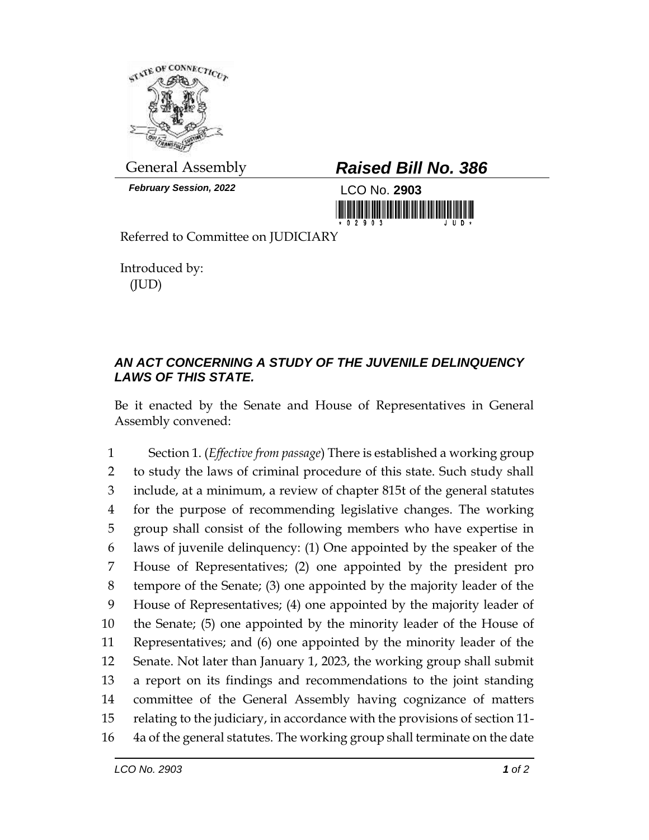

*February Session, 2022* LCO No. **2903**

## General Assembly *Raised Bill No. 386*



Referred to Committee on JUDICIARY

Introduced by: (JUD)

## *AN ACT CONCERNING A STUDY OF THE JUVENILE DELINQUENCY LAWS OF THIS STATE.*

Be it enacted by the Senate and House of Representatives in General Assembly convened:

 Section 1. (*Effective from passage*) There is established a working group to study the laws of criminal procedure of this state. Such study shall include, at a minimum, a review of chapter 815t of the general statutes for the purpose of recommending legislative changes. The working group shall consist of the following members who have expertise in laws of juvenile delinquency: (1) One appointed by the speaker of the House of Representatives; (2) one appointed by the president pro tempore of the Senate; (3) one appointed by the majority leader of the House of Representatives; (4) one appointed by the majority leader of the Senate; (5) one appointed by the minority leader of the House of Representatives; and (6) one appointed by the minority leader of the Senate. Not later than January 1, 2023, the working group shall submit a report on its findings and recommendations to the joint standing committee of the General Assembly having cognizance of matters relating to the judiciary, in accordance with the provisions of section 11- 4a of the general statutes. The working group shall terminate on the date